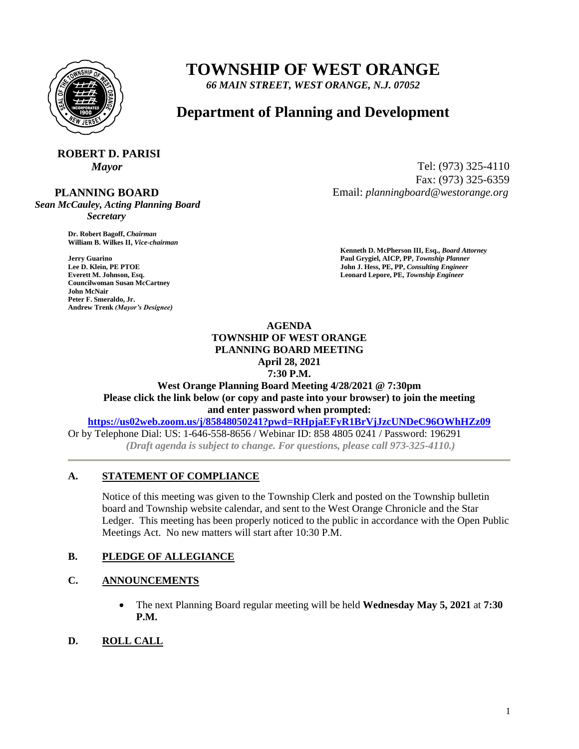

# **TOWNSHIP OF WEST ORANGE**

*66 MAIN STREET, WEST ORANGE, N.J. 07052*

## **Department of Planning and Development**

# **ROBERT D. PARISI**

#### **PLANNING BOARD**

*Sean McCauley, Acting Planning Board Secretary*

> **Dr. Robert Bagoff,** *Chairman*  **William B. Wilkes II,** *Vice-chairman*

**Councilwoman Susan McCartney John McNair Peter F. Smeraldo, Jr. Andrew Trenk** *(Mayor's Designee)*

*Mayor* Tel: (973) 325-4110 Fax: (973) 325-6359 Email: *planningboard@westorange.org*

**Kenneth D. McPherson III, Esq.,** *Board Attorney*  **Jerry Guarino Paul Grygiel, AICP, PP,** *Township Planner*  **Lee D. Klein, PE PTOE** John J. Hess, PE, PP, *Consulting Engineer* John J. Hess, PE, PP, *Consulting Engineer* **Everett M. Johnson, Esq.** Leonard Lepore, PE, Township Engineer

### **AGENDA TOWNSHIP OF WEST ORANGE PLANNING BOARD MEETING April 28, 2021**

**7:30 P.M.**

**West Orange Planning Board Meeting 4/28/2021 @ 7:30pm Please click the link below (or copy and paste into your browser) to join the meeting and enter password when prompted:**

**<https://us02web.zoom.us/j/85848050241?pwd=RHpjaEFyR1BrVjJzcUNDeC96OWhHZz09>**

Or by Telephone Dial: US: 1-646-558-8656 / Webinar ID: 858 4805 0241 / Password: 196291 *(Draft agenda is subject to change. For questions, please call 973-325-4110.)*

#### **A. STATEMENT OF COMPLIANCE**

Notice of this meeting was given to the Township Clerk and posted on the Township bulletin board and Township website calendar, and sent to the West Orange Chronicle and the Star Ledger. This meeting has been properly noticed to the public in accordance with the Open Public Meetings Act. No new matters will start after 10:30 P.M.

#### **B. PLEDGE OF ALLEGIANCE**

#### **C. ANNOUNCEMENTS**

 The next Planning Board regular meeting will be held **Wednesday May 5, 2021** at **7:30 P.M.**

#### **D. ROLL CALL**